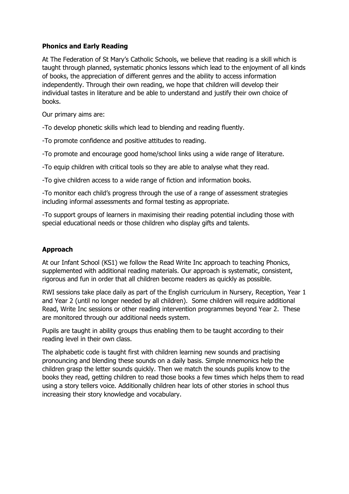## **Phonics and Early Reading**

At The Federation of St Mary's Catholic Schools, we believe that reading is a skill which is taught through planned, systematic phonics lessons which lead to the enjoyment of all kinds of books, the appreciation of different genres and the ability to access information independently. Through their own reading, we hope that children will develop their individual tastes in literature and be able to understand and justify their own choice of books.

Our primary aims are:

-To develop phonetic skills which lead to blending and reading fluently.

-To promote confidence and positive attitudes to reading.

-To promote and encourage good home/school links using a wide range of literature.

-To equip children with critical tools so they are able to analyse what they read.

-To give children access to a wide range of fiction and information books.

-To monitor each child's progress through the use of a range of assessment strategies including informal assessments and formal testing as appropriate.

-To support groups of learners in maximising their reading potential including those with special educational needs or those children who display gifts and talents.

# **Approach**

At our Infant School (KS1) we follow the Read Write Inc approach to teaching Phonics, supplemented with additional reading materials. Our approach is systematic, consistent, rigorous and fun in order that all children become readers as quickly as possible.

RWI sessions take place daily as part of the English curriculum in Nursery, Reception, Year 1 and Year 2 (until no longer needed by all children). Some children will require additional Read, Write Inc sessions or other reading intervention programmes beyond Year 2. These are monitored through our additional needs system.

Pupils are taught in ability groups thus enabling them to be taught according to their reading level in their own class.

The alphabetic code is taught first with children learning new sounds and practising pronouncing and blending these sounds on a daily basis. Simple mnemonics help the children grasp the letter sounds quickly. Then we match the sounds pupils know to the books they read, getting children to read those books a few times which helps them to read using a story tellers voice. Additionally children hear lots of other stories in school thus increasing their story knowledge and vocabulary.